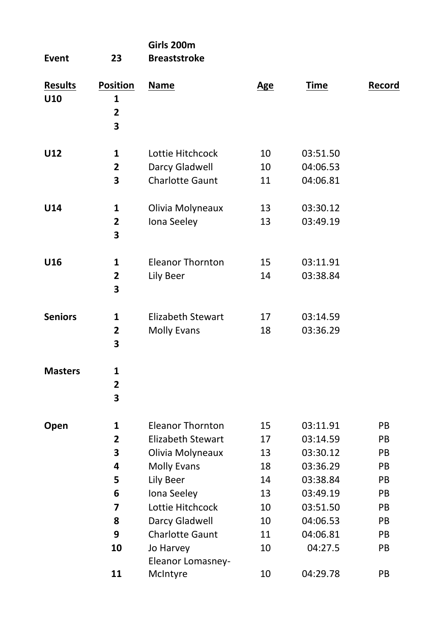| <b>Event</b>          | 23                                                                               | Girls 200m<br><b>Breaststroke</b>                                                                                                                                                        |                                                          |                                                                                                                     |                                                          |
|-----------------------|----------------------------------------------------------------------------------|------------------------------------------------------------------------------------------------------------------------------------------------------------------------------------------|----------------------------------------------------------|---------------------------------------------------------------------------------------------------------------------|----------------------------------------------------------|
| <b>Results</b><br>U10 | <b>Position</b><br>1<br>$\overline{2}$<br>3                                      | <b>Name</b>                                                                                                                                                                              | <b>Age</b>                                               | <b>Time</b>                                                                                                         | Record                                                   |
| U12                   | 1<br>$\overline{2}$<br>3                                                         | Lottie Hitchcock<br>Darcy Gladwell<br>Charlotte Gaunt                                                                                                                                    | 10<br>10<br>11                                           | 03:51.50<br>04:06.53<br>04:06.81                                                                                    |                                                          |
| U14                   | $\mathbf{1}$<br>2<br>3                                                           | Olivia Molyneaux<br>Iona Seeley                                                                                                                                                          | 13<br>13                                                 | 03:30.12<br>03:49.19                                                                                                |                                                          |
| U16                   | $\mathbf{1}$<br>$\overline{2}$<br>3                                              | <b>Eleanor Thornton</b><br>Lily Beer                                                                                                                                                     | 15<br>14                                                 | 03:11.91<br>03:38.84                                                                                                |                                                          |
| <b>Seniors</b>        | 1<br>$\overline{\mathbf{2}}$<br>3                                                | <b>Elizabeth Stewart</b><br><b>Molly Evans</b>                                                                                                                                           | 17<br>18                                                 | 03:14.59<br>03:36.29                                                                                                |                                                          |
| <b>Masters</b>        | $\mathbf{1}$<br>$\overline{\mathbf{c}}$<br>3                                     |                                                                                                                                                                                          |                                                          |                                                                                                                     |                                                          |
| Open                  | 1<br>$\mathbf{2}$<br>3<br>4<br>5<br>6<br>$\overline{\mathbf{z}}$<br>8<br>9<br>10 | <b>Eleanor Thornton</b><br>Elizabeth Stewart<br>Olivia Molyneaux<br><b>Molly Evans</b><br>Lily Beer<br>Iona Seeley<br>Lottie Hitchcock<br>Darcy Gladwell<br>Charlotte Gaunt<br>Jo Harvey | 15<br>17<br>13<br>18<br>14<br>13<br>10<br>10<br>11<br>10 | 03:11.91<br>03:14.59<br>03:30.12<br>03:36.29<br>03:38.84<br>03:49.19<br>03:51.50<br>04:06.53<br>04:06.81<br>04:27.5 | PB<br>PB<br>PB<br>PB<br>PB<br>PB<br>PB<br>PB<br>PB<br>PB |
|                       | 11                                                                               | Eleanor Lomasney-<br>McIntyre                                                                                                                                                            | 10                                                       | 04:29.78                                                                                                            | PB                                                       |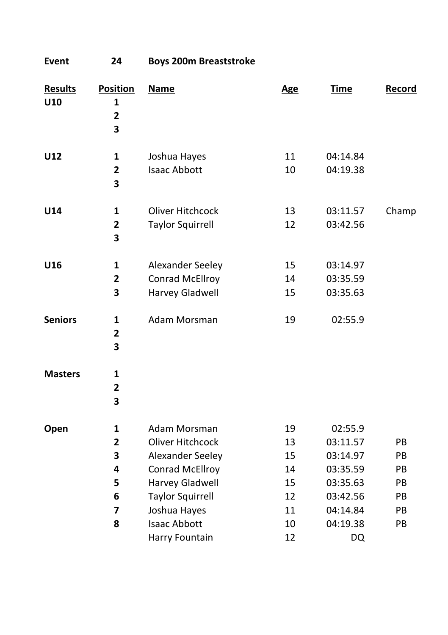**Event 24 Boys 200m Breaststroke**

| <b>Results</b><br>U10 | <b>Position</b><br>$\mathbf{1}$<br>$\overline{\mathbf{2}}$<br>3 | <b>Name</b>                                                                                                                                                  | <b>Age</b>                                   | <b>Time</b>                                                                                 | Record                                 |
|-----------------------|-----------------------------------------------------------------|--------------------------------------------------------------------------------------------------------------------------------------------------------------|----------------------------------------------|---------------------------------------------------------------------------------------------|----------------------------------------|
| U12                   | 1<br>$\overline{2}$<br>3                                        | Joshua Hayes<br><b>Isaac Abbott</b>                                                                                                                          | 11<br>10                                     | 04:14.84<br>04:19.38                                                                        |                                        |
| U14                   | 1<br>2<br>3                                                     | <b>Oliver Hitchcock</b><br><b>Taylor Squirrell</b>                                                                                                           | 13<br>12                                     | 03:11.57<br>03:42.56                                                                        | Champ                                  |
| U16                   | 1<br>$\overline{2}$<br>3                                        | Alexander Seeley<br>Conrad McEllroy<br>Harvey Gladwell                                                                                                       | 15<br>14<br>15                               | 03:14.97<br>03:35.59<br>03:35.63                                                            |                                        |
| <b>Seniors</b>        | $\mathbf{1}$<br>$\overline{\mathbf{2}}$<br>3                    | Adam Morsman                                                                                                                                                 | 19                                           | 02:55.9                                                                                     |                                        |
| <b>Masters</b>        | 1<br>$\overline{2}$<br>3                                        |                                                                                                                                                              |                                              |                                                                                             |                                        |
| Open                  | 1<br>$\overline{2}$<br>3<br>4<br>5<br>6<br>7<br>8               | Adam Morsman<br>Oliver Hitchcock<br>Alexander Seeley<br>Conrad McEllroy<br>Harvey Gladwell<br><b>Taylor Squirrell</b><br>Joshua Hayes<br><b>Isaac Abbott</b> | 19<br>13<br>15<br>14<br>15<br>12<br>11<br>10 | 02:55.9<br>03:11.57<br>03:14.97<br>03:35.59<br>03:35.63<br>03:42.56<br>04:14.84<br>04:19.38 | PB<br>PB<br>PB<br>PB<br>PB<br>PB<br>PB |
|                       |                                                                 | Harry Fountain                                                                                                                                               | 12                                           | <b>DQ</b>                                                                                   |                                        |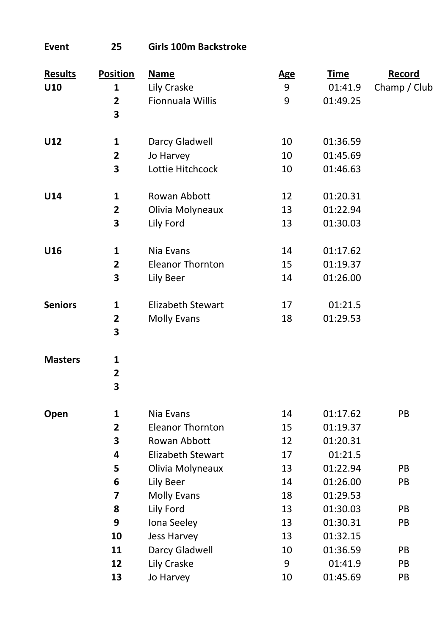| Results        | <b>Position</b>         | <b>Name</b>              | <b>Age</b> | <b>Time</b> | Record       |
|----------------|-------------------------|--------------------------|------------|-------------|--------------|
| U10            | 1                       | Lily Craske              | 9          | 01:41.9     | Champ / Club |
|                | $\overline{\mathbf{2}}$ | Fionnuala Willis         | 9          | 01:49.25    |              |
|                | 3                       |                          |            |             |              |
| U12            | $\mathbf 1$             | Darcy Gladwell           | 10         | 01:36.59    |              |
|                | $\overline{\mathbf{c}}$ | Jo Harvey                | 10         | 01:45.69    |              |
|                | 3                       | Lottie Hitchcock         | 10         | 01:46.63    |              |
|                |                         |                          |            |             |              |
| U14            | 1                       | Rowan Abbott             | 12         | 01:20.31    |              |
|                | $\overline{2}$          | Olivia Molyneaux         | 13         | 01:22.94    |              |
|                | 3                       | Lily Ford                | 13         | 01:30.03    |              |
| U16            | 1                       | Nia Evans                | 14         | 01:17.62    |              |
|                | $\mathbf{2}$            | <b>Eleanor Thornton</b>  | 15         | 01:19.37    |              |
|                | 3                       | Lily Beer                | 14         | 01:26.00    |              |
|                |                         |                          |            |             |              |
| <b>Seniors</b> | $\mathbf{1}$            | <b>Elizabeth Stewart</b> | 17         | 01:21.5     |              |
|                | $\overline{\mathbf{2}}$ | <b>Molly Evans</b>       | 18         | 01:29.53    |              |
|                | 3                       |                          |            |             |              |
| <b>Masters</b> | $\mathbf 1$             |                          |            |             |              |
|                | $\overline{2}$          |                          |            |             |              |
|                | 3                       |                          |            |             |              |
|                |                         |                          |            |             |              |
| Open           | $\mathbf 1$             | Nia Evans                | 14         | 01:17.62    | PB           |
|                | $\overline{\mathbf{2}}$ | <b>Eleanor Thornton</b>  | 15         | 01:19.37    |              |
|                | 3                       | Rowan Abbott             | 12         | 01:20.31    |              |
|                | 4                       | Elizabeth Stewart        | 17         | 01:21.5     |              |
|                | 5                       | Olivia Molyneaux         | 13         | 01:22.94    | PB           |
|                | 6                       | Lily Beer                | 14         | 01:26.00    | PB           |
|                | 7                       | <b>Molly Evans</b>       | 18         | 01:29.53    |              |
|                | 8                       | Lily Ford                | 13         | 01:30.03    | PB           |
|                | 9                       | Iona Seeley              | 13         | 01:30.31    | PB           |
|                | 10                      | <b>Jess Harvey</b>       | 13         | 01:32.15    |              |
|                | 11                      | Darcy Gladwell           | 10         | 01:36.59    | PB           |
|                | 12                      | Lily Craske              | 9          | 01:41.9     | PB           |
|                | 13                      | Jo Harvey                | 10         | 01:45.69    | PB           |

**Event 25 Girls 100m Backstroke**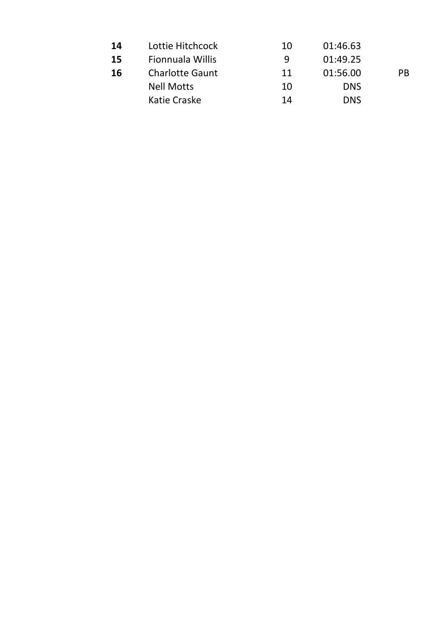| 14 | Lottie Hitchcock       | 10 | 01:46.63   |     |
|----|------------------------|----|------------|-----|
| 15 | Fionnuala Willis       | q  | 01:49.25   |     |
| 16 | <b>Charlotte Gaunt</b> | 11 | 01:56.00   | PB. |
|    | <b>Nell Motts</b>      | 10 | <b>DNS</b> |     |
|    | Katie Craske           | 14 | <b>DNS</b> |     |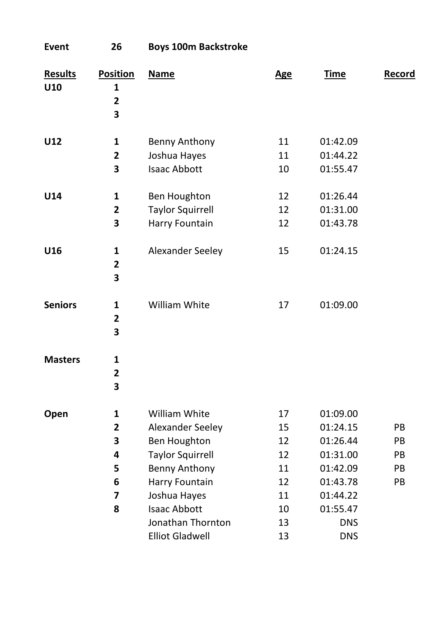| 26                                   | <b>Boys 100m Backstroke</b>                                                                                                                                                 |                                                    |                                                                                                            |                            |
|--------------------------------------|-----------------------------------------------------------------------------------------------------------------------------------------------------------------------------|----------------------------------------------------|------------------------------------------------------------------------------------------------------------|----------------------------|
| 1<br>$\overline{\mathbf{2}}$<br>3    | <b>Name</b>                                                                                                                                                                 | <b>Age</b>                                         | <b>Time</b>                                                                                                | Record                     |
| 1<br>$\overline{\mathbf{2}}$<br>3    | Benny Anthony<br>Joshua Hayes<br><b>Isaac Abbott</b>                                                                                                                        | 11<br>11<br>10                                     | 01:42.09<br>01:44.22<br>01:55.47                                                                           |                            |
| 1<br>$\overline{\mathbf{2}}$<br>3    | Ben Houghton<br><b>Taylor Squirrell</b><br>Harry Fountain                                                                                                                   | 12<br>12<br>12                                     | 01:26.44<br>01:31.00<br>01:43.78                                                                           |                            |
| 1<br>2<br>3                          | Alexander Seeley                                                                                                                                                            | 15                                                 | 01:24.15                                                                                                   |                            |
| 1<br>$\overline{\mathbf{2}}$<br>3    | William White                                                                                                                                                               | 17                                                 | 01:09.00                                                                                                   |                            |
| 1<br>$\overline{\mathbf{2}}$<br>3    |                                                                                                                                                                             |                                                    |                                                                                                            |                            |
| 1<br>2<br>3<br>4<br>5<br>6<br>7<br>8 | William White<br>Alexander Seeley<br>Ben Houghton<br><b>Taylor Squirrell</b><br>Benny Anthony<br>Harry Fountain<br>Joshua Hayes<br><b>Isaac Abbott</b><br>Jonathan Thornton | 17<br>15<br>12<br>12<br>11<br>12<br>11<br>10<br>13 | 01:09.00<br>01:24.15<br>01:26.44<br>01:31.00<br>01:42.09<br>01:43.78<br>01:44.22<br>01:55.47<br><b>DNS</b> | PB<br>PB<br>PB<br>PB<br>PB |
|                                      | <b>Position</b>                                                                                                                                                             | <b>Elliot Gladwell</b>                             | 13                                                                                                         | <b>DNS</b>                 |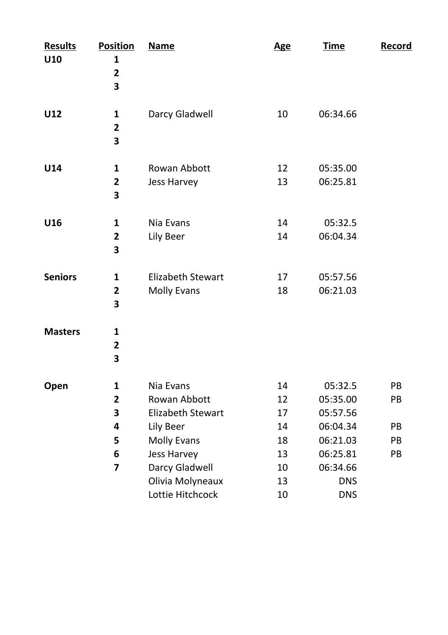| <b>Results</b><br>U10 | <b>Position</b><br>1<br>$\overline{\mathbf{c}}$<br>3  | <b>Name</b>                                                                                                                            | <b>Age</b>                                   | <b>Time</b>                                                                                   | Record                     |
|-----------------------|-------------------------------------------------------|----------------------------------------------------------------------------------------------------------------------------------------|----------------------------------------------|-----------------------------------------------------------------------------------------------|----------------------------|
| U12                   | 1<br>2<br>3                                           | Darcy Gladwell                                                                                                                         | 10                                           | 06:34.66                                                                                      |                            |
| U14                   | 1<br>$\mathbf{2}$<br>3                                | Rowan Abbott<br>Jess Harvey                                                                                                            | 12<br>13                                     | 05:35.00<br>06:25.81                                                                          |                            |
| U16                   | 1<br>$\overline{2}$<br>3                              | Nia Evans<br>Lily Beer                                                                                                                 | 14<br>14                                     | 05:32.5<br>06:04.34                                                                           |                            |
| <b>Seniors</b>        | 1<br>$\overline{\mathbf{2}}$<br>3                     | <b>Elizabeth Stewart</b><br>Molly Evans                                                                                                | 17<br>18                                     | 05:57.56<br>06:21.03                                                                          |                            |
| <b>Masters</b>        | 1<br>$\mathbf{2}$<br>3                                |                                                                                                                                        |                                              |                                                                                               |                            |
| Open                  | 1<br>$\overline{\mathbf{2}}$<br>3<br>4<br>5<br>6<br>7 | Nia Evans<br>Rowan Abbott<br>Elizabeth Stewart<br>Lily Beer<br><b>Molly Evans</b><br>Jess Harvey<br>Darcy Gladwell<br>Olivia Molyneaux | 14<br>12<br>17<br>14<br>18<br>13<br>10<br>13 | 05:32.5<br>05:35.00<br>05:57.56<br>06:04.34<br>06:21.03<br>06:25.81<br>06:34.66<br><b>DNS</b> | PB<br>PB<br>PB<br>PB<br>PB |
|                       |                                                       | Lottie Hitchcock                                                                                                                       | 10                                           | <b>DNS</b>                                                                                    |                            |